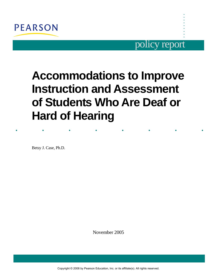

# policy report

**. . . . . . . . .** 

# **Accommodations to Improve Instruction and Assessment of Students Who Are Deaf or Hard of Hearing**

. . . . . . . .

Betsy J. Case, Ph.D.

November 2005

Copyright © 2008 by Pearson Education, Inc. or its affiliate(s). All rights reserved.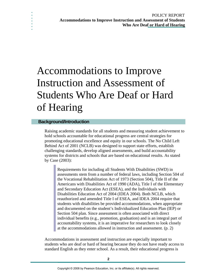# Accommodations to Improve Instruction and Assessment of Students Who Are Deaf or Hard of Hearing

#### **Background/Introduction**

**. . . . . . .**

> Raising academic standards for all students and measuring student achievement to hold schools accountable for educational progress are central strategies for promoting educational excellence and equity in our schools. The No Child Left Behind Act of 2001 (NCLB) was designed to support state efforts, establish challenging standards, develop aligned assessments, and build accountability systems for districts and schools that are based on educational results. As stated by Case (2003):

Requirements for including all Students With Disabilities (SWD) in assessments stem from a number of federal laws, including Section 504 of the Vocational Rehabilitation Act of 1973 (Section 504), Title II of the Americans with Disabilities Act of 1990 (ADA), Title I of the Elementary and Secondary Education Act (ESEA), and the Individuals with Disabilities Education Act of 2004 (IDEA 2004). Both NCLB, which reauthorized and amended Title I of ESEA, and IDEA 2004 require that students with disabilities be provided accommodations, when appropriate and documented on the student's Individualized Education Plan (IEP) or Section 504 plan. Since assessment is often associated with direct individual benefits (e.g., promotion, graduation) and is an integral part of accountability systems, it is an imperative for researchers to look closely at the accommodations allowed in instruction and assessment. (p. 2)

Accommodations in assessment and instruction are especially important to students who are deaf or hard of hearing because they do not have ready access to standard English as they enter school. As a result, their educational progress is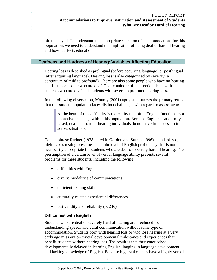#### POLICY REPORT **Accommodations to Improve Instruction and Assessment of Students Who Are Deaf or Hard of Hearing**

often delayed. To understand the appropriate selection of accommodations for this population, we need to understand the implication of being deaf or hard of hearing and how it affects education.

#### **Deafness and Hardness of Hearing: Variables Affecting Education**

Hearing loss is described as prelingual (before acquiring language) or postlingual (after acquiring language). Hearing loss is also categorized by severity (a continuum of mild to profound). There are also some people who have no hearing at all—those people who are deaf. The remainder of this section deals with students who are deaf and students with severe to profound hearing loss.

In the following observation, Mounty (2001) aptly summarizes the primary reason that this student population faces distinct challenges with regard to assessment:

At the heart of this difficulty is the reality that often English functions as a nonnative language within this population. Because English is auditorily based, deaf and hard of hearing individuals do not have full access to it across situations.

To paraphrase Rudner (1978; cited in Gordon and Stump, 1996), standardized, high-stakes testing presumes a certain level of English proficiency that is not necessarily appropriate for students who are deaf or severely hard of hearing. The presumption of a certain level of verbal language ability presents several problems for these students, including the following:

• difficulties with English

**. . . . . . .**

- diverse modalities of communications
- deficient reading skills
- culturally-related experiential differences
- test validity and reliability (p. 236)

#### **Difficulties with English**

Students who are deaf or severely hard of hearing are precluded from understanding speech and aural communication without some type of accommodation. Students born with hearing loss or who lose hearing at a very early age miss out on crucial developmental milestones and experiences that benefit students without hearing loss. The result is that they enter school developmentally delayed in learning English, lagging in language development, and lacking knowledge of English. Because high-stakes tests have a highly verbal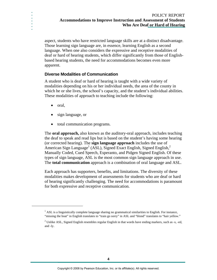#### POLICY REPORT **Accommodations to Improve Instruction and Assessment of Students Who Are Deaf or Hard of Hearing**

aspect, students who have restricted language skills are at a distinct disadvantage. Those learning sign language are, in essence, learning English as a second language. When one also considers the expressive and receptive modalities of deaf or hard of hearing students, which differ significantly from those of Englishbased hearing students, the need for accommodations becomes even more apparent.

#### **Diverse Modalities of Communication**

A student who is deaf or hard of hearing is taught with a wide variety of modalities depending on his or her individual needs, the area of the county in which he or she lives, the school's capacity, and the student's individual abilities. These modalities of approach to teaching include the following:

• oral,

**. . . . . . .**

1

- sign language, or
- total communication programs.

The **oral approach,** also known as the auditory-oral approach, includes teaching the deaf to speak and read lips but is based on the student's having some hearing (or corrected hearing). The **sign language approach** includes the use of American Sign Language<sup>1</sup> [\(](#page-3-0)ASL), Signed Exact English, Signed English,<sup>[2](#page-3-1)</sup> Manually Coded, Cued Speech, Esperanto, and Pidgen Signed English. Of these types of sign language, ASL is the most common sign language approach in use. The **total communication** approach is a combination of oral language and ASL.

Each approach has supporters, benefits, and limitations. The diversity of these modalities makes development of assessments for students who are deaf or hard of hearing significantly challenging. The need for accommodations is paramount for both expressive and receptive communication.

<span id="page-3-0"></span> $<sup>1</sup>$  ASL is a linguistically complete language sharing no grammatical similarities to English. For instance,</sup> "missing the boat" in English translates to "train go sorry" in ASL and "blond" translates to "hair yellow."

<span id="page-3-1"></span> $2^2$  Unlike ASL, Signed English resembles regular English in that words have ending markers, such as -s, -ed, and -ly.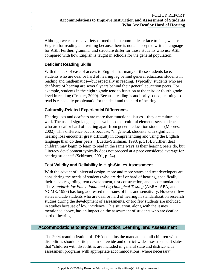Although we can use a variety of methods to communicate face to face, we use English for reading and writing because there is not an accepted written language for ASL. Further, grammar and structure differ for those students who use ASL compared with how English is taught in schools for the general population.

### **Deficient Reading Skills**

**. . . . . . .**

> With the lack of ease of access to English that many of these students face, students who are deaf or hard of hearing lag behind general education students in reading and mathematics—but especially in reading. Typically, students who are deaf/hard of hearing are several years behind their general education peers. For example, students in the eighth grade tend to function at the third or fourth grade level in reading (Traxler, 2000). Because reading is auditorily based, learning to read is especially problematic for the deaf and the hard of hearing.

### **Culturally-Related Experiential Differences**

Hearing loss and deafness are more than functional issues—they are cultural as well. The use of sign language as well as other cultural elements sets students who are deaf or hard of hearing apart from general education students (Moores, 2002). This difference occurs because, "in general, students with significant hearing loss encounter great difficulty in comprehending and using the English language than do their peers" (Luetke-Stahlman, 1998, p. 316). Further, deaf children may begin to learn to read in the same ways as their hearing peers do, but "literacy development typically does not proceed at a pace considered average for hearing students" (Schirmer, 2001, p. 74).

#### **Test Validity and Reliability in High-Stakes Assessment**

With the advent of universal design, more and more states and test developers are considering the needs of students who are deaf or hard of hearing, specifically their needs regarding item development, test construction, and accommodations. The *Standards for Educational and Psychological Testing* (AERA, APA, and NCME, 1999) has long addressed the issues of bias and sensitivity. However, few states include students who are deaf or hard of hearing in standardization research studies during the development of assessments, or too few students are included in studies because of low incidence. This situation, along with the issues mentioned above, has an impact on the assessment of students who are deaf or hard of hearing.

#### **Accommodations to Improve Instruction, Learning, and Assessment**

The 2004 reauthorization of IDEA contains the mandate that all children with disabilities should participate in statewide and district-wide assessments. It states that "children with disabilities are included in general state and district-wide assessment programs with appropriate accommodations, where necessary"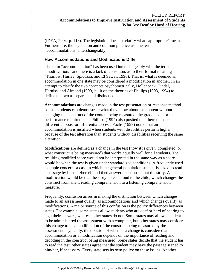(IDEA, 2004, p. 118). The legislation does not clarify what "appropriate" means. Furthermore, the legislation and common practice use the term "accommodations" interchangeably.

#### **How Accommodations and Modifications Differ**

**. . . . . . .**

> The term "accommodation" has been used interchangeably with the term "modification," and there is a lack of consensus as to their formal meaning (Thurlow, Hurley, Spicuzza, and El Sawaf, 1996). That is, what is deemed an accommodation in one state may be considered a modification in another. In an attempt to clarify the two concepts psychometrically, Hollenbeck, Tindal, Harniss, and Almond (1999) built on the theories of Phillips (1993, 1994) to define the two as separate and distinct concepts.

**Accommodations** are changes made in the test presentation or response method so that students can demonstrate what they know about the content without changing the construct of the content being measured, the grade level, or the performance requirements. Phillips (1994) also posited that there must be a differential boost or differential access. Fuchs (1999) noted that an accommodation is justified when students with disabilities perform higher because of the test alteration than students without disabilities receiving the same alteration.

**Modifications** are defined as a change in the test (how it is given, completed, or what construct is being measured) that works equally well for all students. The resulting modified score would not be interpreted in the same way as a score would be when the test is given under standardized conditions. A frequently used example concerns a case in which the general population student is asked to read a passage by himself/herself and then answer questions about the story. A modification would be that the story is read aloud to the child, which changes the construct from silent reading comprehension to a listening comprehension measure.

Frequently, confusion arises in making the distinction between which changes made to an assessment qualify as accommodations and which changes qualify as modifications. A major source of this confusion is the policy differences between states. For example, some states allow students who are deaf or hard of hearing to sign their answers, whereas other states do not. Some states may allow a student to be administered the assessment with a computer, but other states may consider this change to be a modification of the construct being measured by the assessment. Typically, the decision of whether a change is considered an accommodation or a modification depends on the importance of reading and decoding in the construct being measured. Some states decide that the student has to read the test; other states agree that the student may have the passage signed to him/her, if necessary. Every state sets its own policy on these issues. Another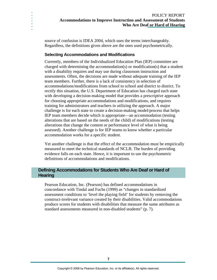source of confusion is IDEA 2004, which uses the terms interchangeably. Regardless, the definitions given above are the ones used psychometrically.

#### **Selecting Accommodations and Modifications**

**. . . . . . .**

> Currently, members of the Individualized Education Plan (IEP) committee are charged with determining the accommodation(s) or modification(s) that a student with a disability requires and may use during classroom instruction and assessments. Often, the decisions are made without adequate training of the IEP team members. Further, there is a lack of consistency in selection of accommodations/modifications from school to school and district to district. To rectify this situation, the U.S. Department of Education has charged each state with developing a decision-making model that provides a prescriptive approach for choosing appropriate accommodations and modifications, and requires training for administrators and teachers in utilizing the approach. A major challenge is for each state to create a decision-making model/process that helps IEP team members decide which is appropriate—an accommodation (testing alterations that are based on the needs of the child) of modifications (testing alterations that change the content or performance level of what is being assessed). Another challenge is for IEP teams to know whether a particular accommodation works for a specific student.

> Yet another challenge is that the effect of the accommodation must be empirically measured to meet the technical standards of NCLB. The burden of providing evidence falls on each state. Hence, it is important to use the psychometric definitions of accommodations and modifications.

#### **Defining Accommodations for Students Who Are Deaf or Hard of Hearing**

Pearson Education, Inc. (Pearson) has defined accommodations in concordance with Tindal and Fuchs (1999) as "changes in standardized assessment conditions to 'level the playing field' for students by removing the construct-irrelevant variance created by their disabilities. Valid accommodations produce scores for students with disabilities that measure the same attributes as standard assessments measured in non-disabled students" (p. 7).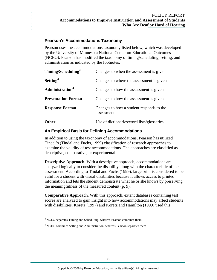#### **Pearson's Accommodations Taxonomy**

**. . . . . . .**

 $\overline{a}$ 

Pearson uses the accommodations taxonomy listed below, which was developed by the University of Minnesota National Center on Educational Outcomes (NCEO). Pearson has modified the taxonomy of timing/scheduling, setting, and administration as indicated by the footnotes.

| Timing/Scheduling <sup>3</sup> | Changes to when the assessment is given                |  |
|--------------------------------|--------------------------------------------------------|--|
| Setting <sup>4</sup>           | Changes to where the assessment is given               |  |
| Administration <sup>4</sup>    | Changes to how the assessment is given                 |  |
| <b>Presentation Format</b>     | Changes to how the assessment is given                 |  |
| <b>Response Format</b>         | Changes to how a student responds to the<br>assessment |  |
| Other                          | Use of dictionaries/word lists/glossaries              |  |

#### **An Empirical Basis for Defining Accommodations**

In addition to using the taxonomy of accommodations, Pearson has utilized Tindal's (Tindal and Fuchs, 1999) classification of research approaches to examine the validity of test accommodations. The approaches are classified as descriptive, comparative, or experimental.

**Descriptive Approach.** With a descriptive approach, accommodations are analyzed logically to consider the disability along with the characteristic of the assessment. According to Tindal and Fuchs (1999), large print is considered to be valid for a student with visual disabilities because it allows access to printed information and lets the student demonstrate what he or she knows by preserving the meaningfulness of the measured content (p. 9).

**Comparative Approach.** With this approach, extant databases containing test scores are analyzed to gain insight into how accommodations may affect students with disabilities. Koretz (1997) and Koretz and Hamilton (1999) used this

<span id="page-7-0"></span><sup>&</sup>lt;sup>3</sup> NCEO separates Timing and Scheduling, whereas Pearson combines them.

<span id="page-7-1"></span><sup>&</sup>lt;sup>4</sup> NCEO combines Setting and Administration, whereas Pearson separates them.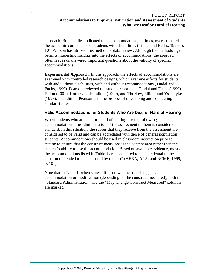#### POLICY REPORT **Accommodations to Improve Instruction and Assessment of Students Who Are Deaf or Hard of Hearing**

approach. Both studies indicated that accommodations, at times, overestimated the academic competence of students with disabilities (Tindal and Fuchs, 1999, p. 10). Pearson has utilized this method of data review. Although the methodology permits interesting insights into the effects of accommodations, the approach often leaves unanswered important questions about the validity of specific accommodations.

**. . . . . . .**

> **Experimental Approach.** In this approach, the effects of accommodations are examined with controlled research designs, which examine effects for students with and without disabilities, with and without accommodations (Tindal and Fuchs, 1999). Pearson reviewed the studies reported in Tindal and Fuchs (1999), Elliott (2001), Koretz and Hamilton (1999), and Thurlow, Elliott, and Ysseldyke (1998). In addition, Pearson is in the process of developing and conducting similar studies.

#### **Valid Accommodations for Students Who Are Deaf or Hard of Hearing**

When students who are deaf or heard of hearing use the following accommodations, the administration of the assessment to them is considered standard. In this situation, the scores that they receive from the assessment are considered to be valid and can be aggregated with those of general population students. Accommodations should be used in classroom instruction prior to testing to ensure that the construct measured is the content area rather than the student's ability to use the accommodation. Based on available evidence, most of the accommodations listed in [Table 1](#page-9-0) are considered to be "incidental to the construct intended to be measured by the test" (AERA, APA, and NCME, 1999, p. 101).

Note that in [Table 1,](#page-9-0) when states differ on whether the change is an accommodation or modification (depending on the construct measured), both the "Standard Administration" and the "May Change Construct Measured" columns are marked.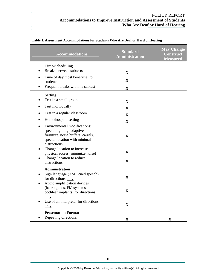| <b>Accommodations</b>                                                                                                                                     | <b>Standard</b><br><b>Administration</b> | <b>May Change</b><br><b>Construct</b><br><b>Measured</b> |
|-----------------------------------------------------------------------------------------------------------------------------------------------------------|------------------------------------------|----------------------------------------------------------|
| <b>Time/Scheduling</b>                                                                                                                                    |                                          |                                                          |
| Breaks between subtests                                                                                                                                   | $\mathbf{X}$                             |                                                          |
| Time of day most beneficial to<br>students                                                                                                                | $\mathbf X$                              |                                                          |
| Frequent breaks within a subtest                                                                                                                          | $\mathbf X$                              |                                                          |
| <b>Setting</b>                                                                                                                                            |                                          |                                                          |
| Test in a small group                                                                                                                                     | $\mathbf X$                              |                                                          |
| Test individually                                                                                                                                         | $\mathbf{X}$                             |                                                          |
| Test in a regular classroom                                                                                                                               | $\mathbf{X}$                             |                                                          |
| Home/hospital setting<br>$\bullet$                                                                                                                        | $\mathbf X$                              |                                                          |
| <b>Environmental modifications:</b><br>special lighting, adaptive<br>furniture, noise buffers, carrels,<br>special location with minimal<br>distractions. | $\mathbf X$                              |                                                          |
| Change location to increase<br>physical access (minimize noise)                                                                                           | $\mathbf X$                              |                                                          |
| Change location to reduce<br>distractions                                                                                                                 | $\mathbf X$                              |                                                          |
| Administration<br>Sign language (ASL, cued speech)<br>for directions only<br>Audio amplification devices<br>$\bullet$                                     | $\mathbf X$                              |                                                          |
| (hearing aids, FM systems,<br>cochlear implants) for directions<br>only                                                                                   | $\mathbf X$                              |                                                          |
| Use of an interpreter for directions<br>only                                                                                                              | $\mathbf X$                              |                                                          |
| <b>Presentation Format</b>                                                                                                                                |                                          |                                                          |
| Repeating directions                                                                                                                                      | $\mathbf X$                              | $\mathbf X$                                              |

#### <span id="page-9-0"></span>**Table 1. Assessment Accommodations for Students Who Are Deaf or Hard of Hearing**

**. . . . . . .**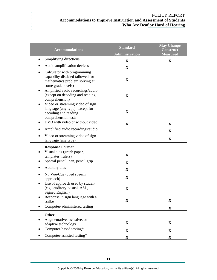**. . . .** 

**. . .**

| <b>Accommodations</b>                                                                                                                                                   | <b>Standard</b><br><b>Administration</b> | <b>May Change</b><br><b>Construct</b><br><b>Measured</b> |
|-------------------------------------------------------------------------------------------------------------------------------------------------------------------------|------------------------------------------|----------------------------------------------------------|
| Simplifying directions<br>$\bullet$                                                                                                                                     | X                                        | $\mathbf X$                                              |
| Audio amplification devices<br>٠                                                                                                                                        | $\mathbf X$                              |                                                          |
| Calculator with programming<br>٠<br>capability disabled (allowed for<br>mathematics problem solving at<br>some grade levels)                                            | X                                        |                                                          |
| Amplified audio recordings/audio<br>٠<br>(except on decoding and reading<br>comprehension)                                                                              | $\mathbf X$                              |                                                          |
| Video or streaming video of sign<br>٠<br>language (any type), except for<br>decoding and reading<br>comprehension tests<br>DVD with video or without video<br>$\bullet$ | X                                        |                                                          |
|                                                                                                                                                                         | $\mathbf X$                              | X                                                        |
| Amplified audio recordings/audio<br>$\bullet$                                                                                                                           |                                          | $\mathbf X$                                              |
| Video or streaming video of sign<br>$\bullet$<br>language (any type)                                                                                                    |                                          | $\mathbf X$                                              |
| <b>Response Format</b>                                                                                                                                                  |                                          |                                                          |
| Visual aids (graph paper,<br>٠<br>templates, rulers)                                                                                                                    | X                                        |                                                          |
| Special pencil, pen, pencil grip<br>٠                                                                                                                                   | $\mathbf X$                              |                                                          |
| Auditory aids<br>٠                                                                                                                                                      | $\mathbf X$                              |                                                          |
| Nu Vue-Cue (cued speech<br>٠<br>approach)<br>Use of approach used by student                                                                                            | $\mathbf X$                              |                                                          |
| (e.g., auditory, visual, ASL,<br>Signed English)                                                                                                                        | $\mathbf X$                              |                                                          |
| Response in sign language with a<br>scribe                                                                                                                              | X                                        | X                                                        |
| Computer-administered testing                                                                                                                                           |                                          | $\mathbf X$                                              |
| <b>Other</b>                                                                                                                                                            |                                          |                                                          |
| Augmentative, assistive, or<br>adaptive technology                                                                                                                      | $\mathbf X$                              | $\mathbf X$                                              |
| Computer-based testing*                                                                                                                                                 | $\mathbf X$                              | X                                                        |
| Computer-assisted testing*                                                                                                                                              | $\mathbf X$                              | $\mathbf X$                                              |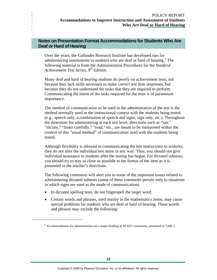## **Notes on Presentation Format Accommodations for Students Who Are Deaf or Hard of Hearing**

**. . . . . . .**

 $\overline{a}$ 

Over the years, the Gallaudet Research Institute has developed tips for administering assessments to students who are deaf or hard of hearing.<sup>[5](#page-11-0)</sup> The following material is from the Administration Procedures for the *Stanford Achievement Test Series*, 9<sup>th</sup> Edition.

Many deaf and hard of hearing students do poorly on achievement tests, not because they lack skills necessary to make correct test item responses, but because they do not understand the tasks that they are required to perform. Communicating the intent of the tasks required for the tests is of paramount importance.

The method of communication to be used in the administration of the test is the method normally used in the instructional context with the students being tested (e.g., speech only, a combination of speech and signs, sign only, etc.). Throughout the directions for administering at each test level, directions such as "say," "dictate," "listen carefully," "read," etc., are meant to be interpreted within the context of this "usual method" of communication used with the students being tested.

Although flexibility is allowed in communicating the test instructions to students, they do not alter the individual test items in any way. Thus, you should not give individual assistance to students after the testing has begun. For dictated subtests, you should try to stay as close as possible to the format of the item as it is presented in the teacher's directions.

The following comments will alert you to some of the important issues related to administering dictated subtests (some of these comments pertain only to situations in which signs are used as the mode of communication).

- In dictated spelling tests, do not fingerspell the target word.
- Certain words and phrases, used mainly in the mathematics items, may cause special problems for students who are deaf or hard of hearing. These words and phrases may include the following:

<span id="page-11-0"></span> $<sup>5</sup>$  Accommodations for administration are a major heading in NCEO's taxonomy, presented in Table 1.</sup>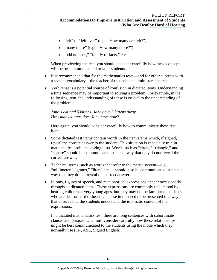- o "left" or "left over" (e.g., "How many are left?")
- o "many more" (e.g., "How many more?")
- o "odd number," "family of facts," etc.

**. . . . . . .**

> When previewing the test, you should consider carefully how these concepts will be best communicated to your students.

- It is recommended that for the mathematics tests—and for other subtests with a special vocabulary—the teacher of that subject administers the test.
- Verb tense is a potential source of confusion in dictated items. Understanding a time sequence may be important to solving a problem. For example, in the following item, the understanding of tense is crucial to the understanding of the problem:

*Jane's cat had 5 kittens. Jane gave 3 kittens away. How many kittens does Jane have now?* 

Here again, you should consider carefully how to communicate these test items.

- Some dictated test items contain words in the item stems which, if signed, reveal the correct answer to the student. This situation is especially true in mathematics problem solving tests. Words such as "circle," "triangle," and "square" should be communicated in such a way that they do not reveal the correct answer.
- Technical terms, such as words that refer to the metric system—e.g., "millimeter," "grams," "liter," etc.,—should also be communicated in such a way that they do not reveal the correct answer.
- Idioms, figures of speech, and metaphorical expressions appear occasionally throughout dictated items. These expressions are commonly understood by hearing children at very young ages, but they may not be familiar to students who are deaf or hard of hearing. These items need to be presented in a way that ensures that the students understand the idiomatic content of the expressions.

In a dictated mathematics test, there are long sentences with subordinate clauses and phrases. One must consider carefully how these relationships might be best communicated to the students using the mode which they normally use (i.e., ASL, Signed English).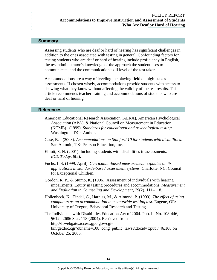#### **Summary**

**. . . . . . .**

> Assessing students who are deaf or hard of hearing has significant challenges in addition to the ones associated with testing in general. Confounding factors for testing students who are deaf or hard of hearing include proficiency in English, the test administrator's knowledge of the approach the student uses to communicate, and the communication skill level of the test taker.

> Accommodations are a way of leveling the playing field on high-stakes assessments. If chosen wisely, accommodations provide students with access to showing what they know without affecting the validity of the test results. This article recommends teacher training and accommodations of students who are deaf or hard of hearing.

#### **References**

- American Educational Research Association (AERA), American Psychological Association (APA), & National Council on Measurement in Education (NCME). (1999). *Standards for educational and psychological testing.* Washington, DC: Author.
- Case, B.J. (2003). *Accommodations on Stanford 10 for students with disabilities.* San Antonio, TX: Pearson Education, Inc.
- Elliott, S. N. (2001). Including students with disabilities in assessments. *ECE Today, 8*(3).
- Fuchs, L.S. (1999, April). *Curriculum-based measurement: Updates on its applications in standards-based assessment systems.* Charlotte, NC: Council for Exceptional Children.
- Gordon, R. P., & Stump, K. (1996). Assessment of individuals with hearing impairments: Equity in testing procedures and accommodations. *Measurement and Evaluation in Counseling and Development, 29*(2), 111–118.
- Hollenbeck, K., Tindal, G., Harniss, M., & Almond, P. (1999). *The effect of using computers as an accommodation in a statewide writing test.* Eugene, OR: University of Oregon, Behavioral Research and Testing.
- The Individuals with Disabilities Education Act of 2004. Pub. L. No. 108-446, §612, 2686 Stat. 118 (2004). Retrieved from http://frwebgate.access.gpo.gov/cgibin/getdoc.cgi?dbname=108\_cong\_public\_laws&docid=f:publ446.108 on October 25, 2005.